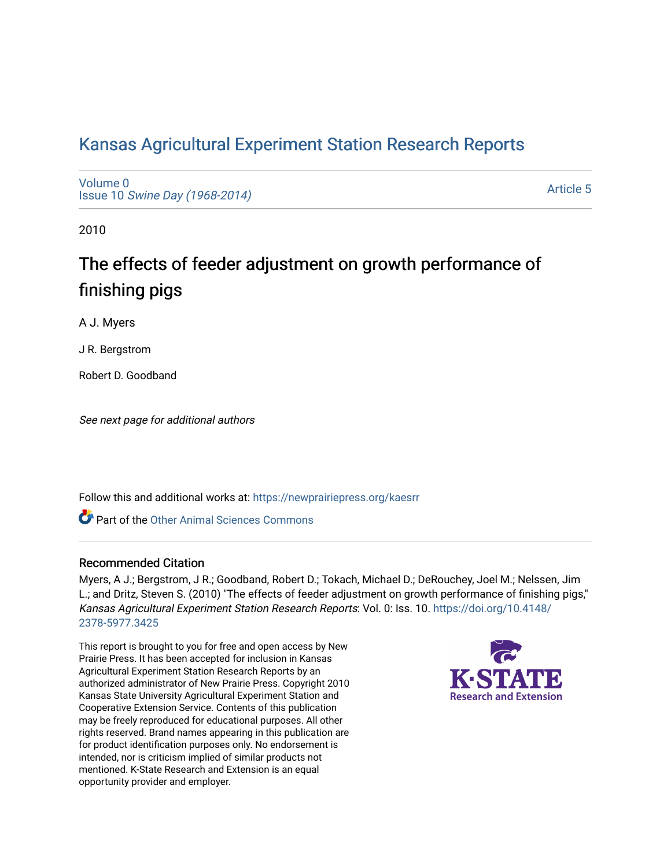# [Kansas Agricultural Experiment Station Research Reports](https://newprairiepress.org/kaesrr)

[Volume 0](https://newprairiepress.org/kaesrr/vol0) Issue 10 [Swine Day \(1968-2014\)](https://newprairiepress.org/kaesrr/vol0/iss10)

[Article 5](https://newprairiepress.org/kaesrr/vol0/iss10/5) 

2010

# The effects of feeder adjustment on growth performance of finishing pigs

A J. Myers

J R. Bergstrom

Robert D. Goodband

See next page for additional authors

Follow this and additional works at: [https://newprairiepress.org/kaesrr](https://newprairiepress.org/kaesrr?utm_source=newprairiepress.org%2Fkaesrr%2Fvol0%2Fiss10%2F5&utm_medium=PDF&utm_campaign=PDFCoverPages) 

**C** Part of the [Other Animal Sciences Commons](http://network.bepress.com/hgg/discipline/82?utm_source=newprairiepress.org%2Fkaesrr%2Fvol0%2Fiss10%2F5&utm_medium=PDF&utm_campaign=PDFCoverPages)

#### Recommended Citation

Myers, A J.; Bergstrom, J R.; Goodband, Robert D.; Tokach, Michael D.; DeRouchey, Joel M.; Nelssen, Jim L.; and Dritz, Steven S. (2010) "The effects of feeder adjustment on growth performance of finishing pigs," Kansas Agricultural Experiment Station Research Reports: Vol. 0: Iss. 10. [https://doi.org/10.4148/](https://doi.org/10.4148/2378-5977.3425) [2378-5977.3425](https://doi.org/10.4148/2378-5977.3425) 

This report is brought to you for free and open access by New Prairie Press. It has been accepted for inclusion in Kansas Agricultural Experiment Station Research Reports by an authorized administrator of New Prairie Press. Copyright 2010 Kansas State University Agricultural Experiment Station and Cooperative Extension Service. Contents of this publication may be freely reproduced for educational purposes. All other rights reserved. Brand names appearing in this publication are for product identification purposes only. No endorsement is intended, nor is criticism implied of similar products not mentioned. K-State Research and Extension is an equal opportunity provider and employer.

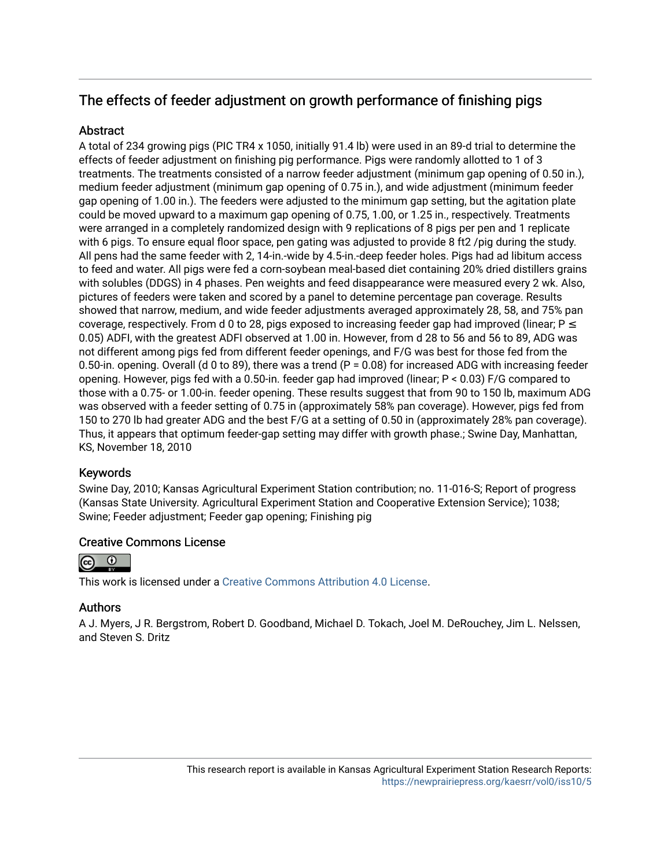## The effects of feeder adjustment on growth performance of finishing pigs

#### **Abstract**

A total of 234 growing pigs (PIC TR4 x 1050, initially 91.4 lb) were used in an 89-d trial to determine the effects of feeder adjustment on finishing pig performance. Pigs were randomly allotted to 1 of 3 treatments. The treatments consisted of a narrow feeder adjustment (minimum gap opening of 0.50 in.), medium feeder adjustment (minimum gap opening of 0.75 in.), and wide adjustment (minimum feeder gap opening of 1.00 in.). The feeders were adjusted to the minimum gap setting, but the agitation plate could be moved upward to a maximum gap opening of 0.75, 1.00, or 1.25 in., respectively. Treatments were arranged in a completely randomized design with 9 replications of 8 pigs per pen and 1 replicate with 6 pigs. To ensure equal floor space, pen gating was adjusted to provide 8 ft2 /pig during the study. All pens had the same feeder with 2, 14-in.-wide by 4.5-in.-deep feeder holes. Pigs had ad libitum access to feed and water. All pigs were fed a corn-soybean meal-based diet containing 20% dried distillers grains with solubles (DDGS) in 4 phases. Pen weights and feed disappearance were measured every 2 wk. Also, pictures of feeders were taken and scored by a panel to detemine percentage pan coverage. Results showed that narrow, medium, and wide feeder adjustments averaged approximately 28, 58, and 75% pan coverage, respectively. From d 0 to 28, pigs exposed to increasing feeder gap had improved (linear;  $P \le$ 0.05) ADFI, with the greatest ADFI observed at 1.00 in. However, from d 28 to 56 and 56 to 89, ADG was not different among pigs fed from different feeder openings, and F/G was best for those fed from the 0.50-in. opening. Overall (d 0 to 89), there was a trend (P = 0.08) for increased ADG with increasing feeder opening. However, pigs fed with a 0.50-in. feeder gap had improved (linear; P < 0.03) F/G compared to those with a 0.75- or 1.00-in. feeder opening. These results suggest that from 90 to 150 lb, maximum ADG was observed with a feeder setting of 0.75 in (approximately 58% pan coverage). However, pigs fed from 150 to 270 lb had greater ADG and the best F/G at a setting of 0.50 in (approximately 28% pan coverage). Thus, it appears that optimum feeder-gap setting may differ with growth phase.; Swine Day, Manhattan, KS, November 18, 2010

#### Keywords

Swine Day, 2010; Kansas Agricultural Experiment Station contribution; no. 11-016-S; Report of progress (Kansas State University. Agricultural Experiment Station and Cooperative Extension Service); 1038; Swine; Feeder adjustment; Feeder gap opening; Finishing pig

#### Creative Commons License



This work is licensed under a [Creative Commons Attribution 4.0 License](https://creativecommons.org/licenses/by/4.0/).

#### Authors

A J. Myers, J R. Bergstrom, Robert D. Goodband, Michael D. Tokach, Joel M. DeRouchey, Jim L. Nelssen, and Steven S. Dritz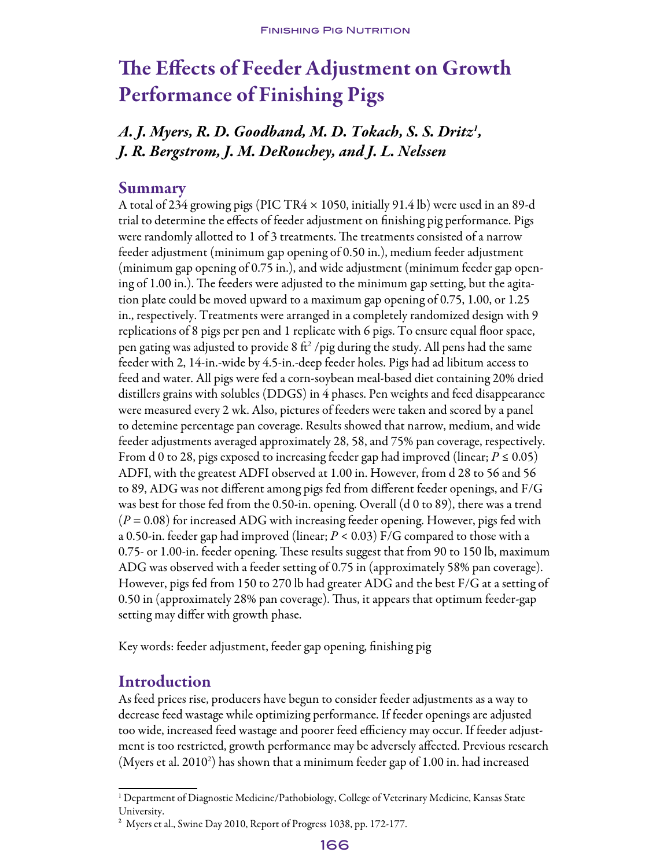# The Effects of Feeder Adjustment on Growth Performance of Finishing Pigs

## *A. J. Myers, R. D. Goodband, M. D. Tokach, S. S. Dritz1 , J. R. Bergstrom, J. M. DeRouchey, and J. L. Nelssen*

#### Summary

A total of 234 growing pigs (PIC TR4 × 1050, initially 91.4 lb) were used in an 89-d trial to determine the effects of feeder adjustment on finishing pig performance. Pigs were randomly allotted to 1 of 3 treatments. The treatments consisted of a narrow feeder adjustment (minimum gap opening of 0.50 in.), medium feeder adjustment (minimum gap opening of 0.75 in.), and wide adjustment (minimum feeder gap opening of 1.00 in.). The feeders were adjusted to the minimum gap setting, but the agitation plate could be moved upward to a maximum gap opening of 0.75, 1.00, or 1.25 in., respectively. Treatments were arranged in a completely randomized design with 9 replications of 8 pigs per pen and 1 replicate with 6 pigs. To ensure equal floor space, pen gating was adjusted to provide 8  $\mathrm{ft}^2$  /pig during the study. All pens had the same feeder with 2, 14-in.-wide by 4.5-in.-deep feeder holes. Pigs had ad libitum access to feed and water. All pigs were fed a corn-soybean meal-based diet containing 20% dried distillers grains with solubles (DDGS) in 4 phases. Pen weights and feed disappearance were measured every 2 wk. Also, pictures of feeders were taken and scored by a panel to detemine percentage pan coverage. Results showed that narrow, medium, and wide feeder adjustments averaged approximately 28, 58, and 75% pan coverage, respectively. From d 0 to 28, pigs exposed to increasing feeder gap had improved (linear;  $P \le 0.05$ ) ADFI, with the greatest ADFI observed at 1.00 in. However, from d 28 to 56 and 56 to 89, ADG was not different among pigs fed from different feeder openings, and F/G was best for those fed from the 0.50-in. opening. Overall (d 0 to 89), there was a trend (*P* = 0.08) for increased ADG with increasing feeder opening. However, pigs fed with a 0.50-in. feeder gap had improved (linear; *P <* 0.03) F/G compared to those with a 0.75- or 1.00-in. feeder opening. These results suggest that from 90 to 150 lb, maximum ADG was observed with a feeder setting of 0.75 in (approximately 58% pan coverage). However, pigs fed from 150 to 270 lb had greater ADG and the best F/G at a setting of 0.50 in (approximately 28% pan coverage). Thus, it appears that optimum feeder-gap setting may differ with growth phase.

Key words: feeder adjustment, feeder gap opening, finishing pig

### Introduction

As feed prices rise, producers have begun to consider feeder adjustments as a way to decrease feed wastage while optimizing performance. If feeder openings are adjusted too wide, increased feed wastage and poorer feed efficiency may occur. If feeder adjustment is too restricted, growth performance may be adversely affected. Previous research (Myers et al. 2010<sup>2</sup>) has shown that a minimum feeder gap of 1.00 in. had increased

<sup>1</sup> Department of Diagnostic Medicine/Pathobiology, College of Veterinary Medicine, Kansas State University.

² Myers et al., Swine Day 2010, Report of Progress 1038, pp. 172-177.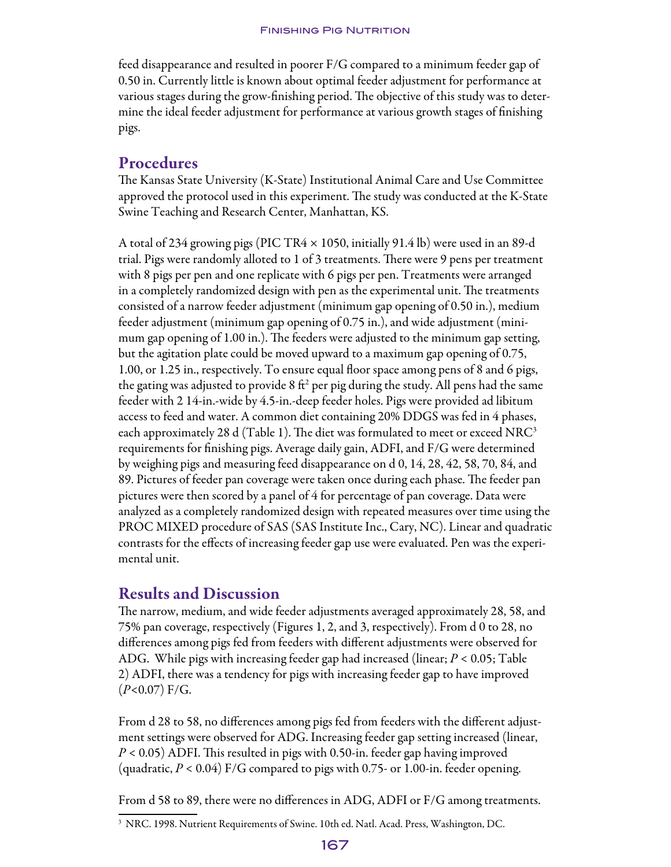feed disappearance and resulted in poorer F/G compared to a minimum feeder gap of 0.50 in. Currently little is known about optimal feeder adjustment for performance at various stages during the grow-finishing period. The objective of this study was to determine the ideal feeder adjustment for performance at various growth stages of finishing pigs.

### Procedures

The Kansas State University (K-State) Institutional Animal Care and Use Committee approved the protocol used in this experiment. The study was conducted at the K-State Swine Teaching and Research Center, Manhattan, KS.

A total of 234 growing pigs (PIC TR4 × 1050, initially 91.4 lb) were used in an 89-d trial. Pigs were randomly alloted to 1 of 3 treatments. There were 9 pens per treatment with 8 pigs per pen and one replicate with 6 pigs per pen. Treatments were arranged in a completely randomized design with pen as the experimental unit. The treatments consisted of a narrow feeder adjustment (minimum gap opening of 0.50 in.), medium feeder adjustment (minimum gap opening of 0.75 in.), and wide adjustment (minimum gap opening of 1.00 in.). The feeders were adjusted to the minimum gap setting, but the agitation plate could be moved upward to a maximum gap opening of 0.75, 1.00, or 1.25 in., respectively. To ensure equal floor space among pens of 8 and 6 pigs, the gating was adjusted to provide 8 ft<sup>2</sup> per pig during the study. All pens had the same feeder with 2 14-in.-wide by 4.5-in.-deep feeder holes. Pigs were provided ad libitum access to feed and water. A common diet containing 20% DDGS was fed in 4 phases, each approximately 28 d (Table 1). The diet was formulated to meet or exceed NRC<sup>3</sup> requirements for finishing pigs. Average daily gain, ADFI, and F/G were determined by weighing pigs and measuring feed disappearance on d 0, 14, 28, 42, 58, 70, 84, and 89. Pictures of feeder pan coverage were taken once during each phase. The feeder pan pictures were then scored by a panel of 4 for percentage of pan coverage. Data were analyzed as a completely randomized design with repeated measures over time using the PROC MIXED procedure of SAS (SAS Institute Inc., Cary, NC). Linearand quadratic contrasts for the effects of increasing feeder gap use were evaluated. Pen was the experimental unit.

## Results and Discussion

The narrow, medium, and wide feeder adjustments averaged approximately 28, 58, and 75% pan coverage, respectively (Figures 1, 2, and 3, respectively). From d 0 to 28, no differences among pigs fed from feeders with different adjustments were observed for ADG. While pigs with increasing feeder gap had increased (linear; *P* < 0.05; Table 2) ADFI, there was a tendency for pigs with increasing feeder gap to have improved (*P<*0.07) F/G.

From d 28 to 58, no differences among pigs fed from feeders with the different adjustment settings were observed for ADG. Increasing feeder gap setting increased (linear, *P* < 0.05) ADFI. This resulted in pigs with 0.50-in. feeder gap having improved (quadratic, *P* < 0.04) F/G compared to pigs with 0.75- or 1.00-in. feeder opening.

From d 58 to 89, there were no differences in ADG, ADFI or F/G among treatments.

<sup>3</sup> NRC. 1998. Nutrient Requirements of Swine. 10th ed. Natl. Acad. Press, Washington, DC.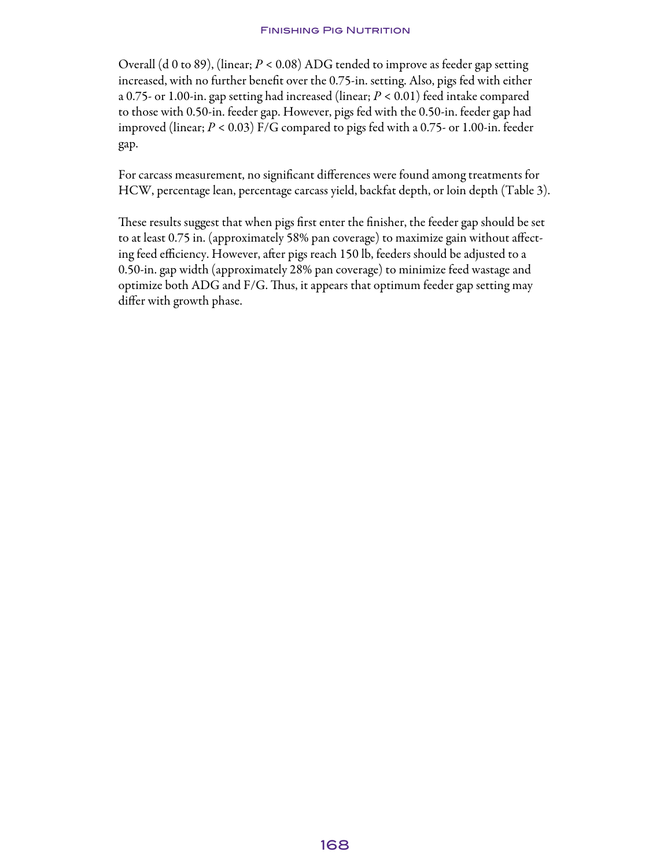Overall (d 0 to 89), (linear; *P <* 0.08) ADG tended to improve as feeder gap setting increased, with no further benefit over the 0.75-in. setting. Also, pigs fed with either a 0.75- or 1.00-in. gap setting had increased (linear; *P <* 0.01) feed intake compared to those with 0.50-in. feeder gap. However, pigs fed with the 0.50-in. feeder gap had improved (linear; *P <* 0.03) F/G compared to pigs fed with a 0.75- or 1.00-in. feeder gap.

For carcass measurement, no significant differences were found among treatments for HCW, percentage lean, percentage carcass yield, backfat depth, or loin depth (Table 3).

These results suggest that when pigs first enter the finisher, the feeder gap should be set to at least 0.75 in. (approximately 58% pan coverage) to maximize gain without affecting feed efficiency. However, after pigs reach 150 lb, feeders should be adjusted to a 0.50-in. gap width (approximately 28% pan coverage) to minimize feed wastage and optimize both ADG and F/G. Thus, it appears that optimum feeder gap setting may differ with growth phase.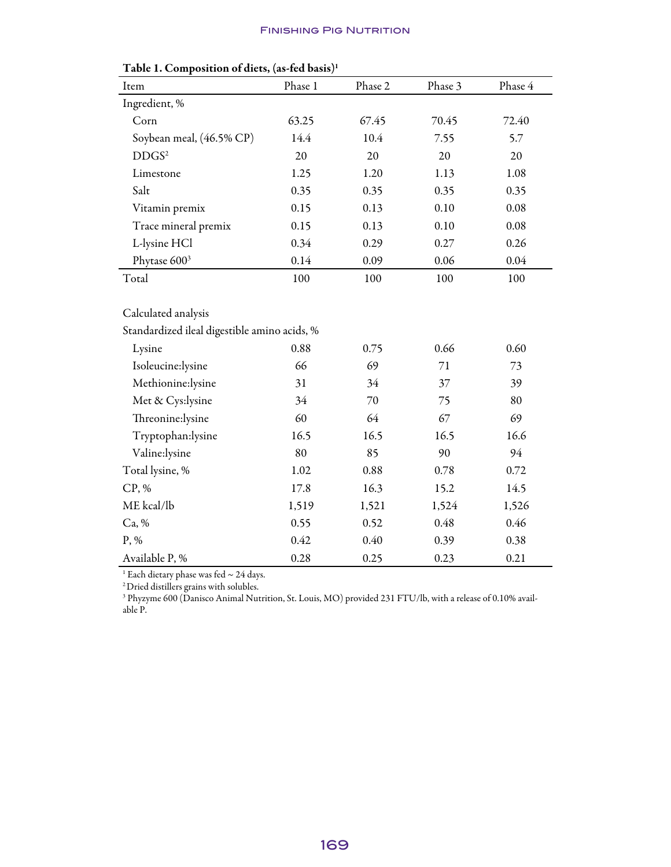| Item                                         | Phase 1 | Phase 2 | Phase 3 | Phase 4 |  |  |  |
|----------------------------------------------|---------|---------|---------|---------|--|--|--|
| Ingredient, %                                |         |         |         |         |  |  |  |
| Corn                                         | 63.25   | 67.45   | 70.45   | 72.40   |  |  |  |
| Soybean meal, (46.5% CP)                     | 14.4    | 10.4    | 7.55    | 5.7     |  |  |  |
| DDGS <sup>2</sup>                            | 20      | 20      | 20      | 20      |  |  |  |
| Limestone                                    | 1.25    | 1.20    | 1.13    | 1.08    |  |  |  |
| Salt                                         | 0.35    | 0.35    | 0.35    | 0.35    |  |  |  |
| Vitamin premix                               | 0.15    | 0.13    | 0.10    | 0.08    |  |  |  |
| Trace mineral premix                         | 0.15    | 0.13    | 0.10    | 0.08    |  |  |  |
| L-lysine HCl                                 | 0.34    | 0.29    | 0.27    | 0.26    |  |  |  |
| Phytase 600 <sup>3</sup>                     | 0.14    | 0.09    | 0.06    | 0.04    |  |  |  |
| Total                                        | 100     | 100     | 100     | 100     |  |  |  |
|                                              |         |         |         |         |  |  |  |
| Calculated analysis                          |         |         |         |         |  |  |  |
| Standardized ileal digestible amino acids, % |         |         |         |         |  |  |  |
| Lysine                                       | 0.88    | 0.75    | 0.66    | 0.60    |  |  |  |
| Isoleucine:lysine                            | 66      | 69      | 71      | 73      |  |  |  |
| Methionine:lysine                            | 31      | 34      | 37      | 39      |  |  |  |
| Met & Cys:lysine                             | 34      | $70\,$  | 75      | 80      |  |  |  |
| Threonine:lysine                             | 60      | 64      | 67      | 69      |  |  |  |
| Tryptophan:lysine                            | 16.5    | 16.5    | 16.5    | 16.6    |  |  |  |
| Valine:lysine                                | 80      | 85      | 90      | 94      |  |  |  |
| Total lysine, %                              | 1.02    | 0.88    | 0.78    | 0.72    |  |  |  |
| CP, %                                        | 17.8    | 16.3    | 15.2    | 14.5    |  |  |  |
| ME kcal/lb                                   | 1,519   | 1,521   | 1,524   | 1,526   |  |  |  |
| Ca, %                                        | 0.55    | 0.52    | 0.48    | 0.46    |  |  |  |
| P, %                                         | 0.42    | 0.40    | 0.39    | 0.38    |  |  |  |
| Available P, %                               | 0.28    | 0.25    | 0.23    | 0.21    |  |  |  |

 $^1$  Each dietary phase was fed  $\sim$  24 days.

2Dried distillers grains with solubles.

<sup>3</sup> Phyzyme 600 (Danisco Animal Nutrition, St. Louis, MO) provided 231 FTU/lb, with a release of 0.10% available P.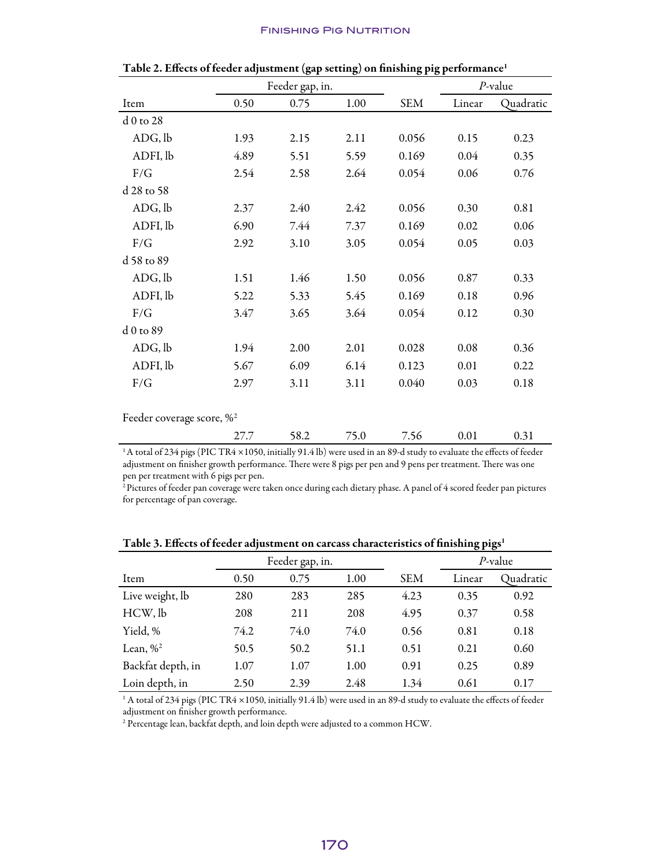|                               | Feeder gap, in. |      |      |            | $P$ -value |           |
|-------------------------------|-----------------|------|------|------------|------------|-----------|
| Item                          | 0.50            | 0.75 | 1.00 | <b>SEM</b> | Linear     | Quadratic |
| $d0$ to 28                    |                 |      |      |            |            |           |
| ADG, lb                       | 1.93            | 2.15 | 2.11 | 0.056      | 0.15       | 0.23      |
| ADFI, lb                      | 4.89            | 5.51 | 5.59 | 0.169      | 0.04       | 0.35      |
| F/G                           | 2.54            | 2.58 | 2.64 | 0.054      | 0.06       | 0.76      |
| d 28 to 58                    |                 |      |      |            |            |           |
| ADG, lb                       | 2.37            | 2.40 | 2.42 | 0.056      | 0.30       | 0.81      |
| ADFI, lb                      | 6.90            | 7.44 | 7.37 | 0.169      | 0.02       | 0.06      |
| F/G                           | 2.92            | 3.10 | 3.05 | 0.054      | 0.05       | 0.03      |
| d 58 to 89                    |                 |      |      |            |            |           |
| ADG, lb                       | 1.51            | 1.46 | 1.50 | 0.056      | 0.87       | 0.33      |
| ADFI, lb                      | 5.22            | 5.33 | 5.45 | 0.169      | 0.18       | 0.96      |
| F/G                           | 3.47            | 3.65 | 3.64 | 0.054      | 0.12       | 0.30      |
| d 0 to 89                     |                 |      |      |            |            |           |
| ADG, lb                       | 1.94            | 2.00 | 2.01 | 0.028      | 0.08       | 0.36      |
| ADFI, lb                      | 5.67            | 6.09 | 6.14 | 0.123      | 0.01       | 0.22      |
| F/G                           | 2.97            | 3.11 | 3.11 | 0.040      | 0.03       | 0.18      |
|                               |                 |      |      |            |            |           |
| Feeder coverage score, $\%^2$ |                 |      |      |            |            |           |
|                               | 27.7            | 58.2 | 75.0 | 7.56       | 0.01       | 0.31      |

Table 2. Effects of feeder adjustment (gap setting) on finishing pig performance<sup>1</sup>

1A total of 234 pigs (PIC TR4 ×1050, initially 91.4 lb) were used in an 89-d study to evaluate the effects of feeder adjustment on finisher growth performance. There were 8 pigs per pen and 9 pens per treatment. There was one pen per treatment with 6 pigs per pen.

<sup>2</sup> Pictures of feeder pan coverage were taken once during each dietary phase. A panel of 4 scored feeder pan pictures for percentage of pan coverage.

|                   |      | Feeder gap, in. |      |            | P-value |           |
|-------------------|------|-----------------|------|------------|---------|-----------|
| Item              | 0.50 | 0.75            | 1.00 | <b>SEM</b> | Linear  | Quadratic |
| Live weight, lb   | 280  | 283             | 285  | 4.23       | 0.35    | 0.92      |
| HCW, lb           | 208  | 211             | 208  | 4.95       | 0.37    | 0.58      |
| Yield, %          | 74.2 | 74.0            | 74.0 | 0.56       | 0.81    | 0.18      |
| Lean, $\%^2$      | 50.5 | 50.2            | 51.1 | 0.51       | 0.21    | 0.60      |
| Backfat depth, in | 1.07 | 1.07            | 1.00 | 0.91       | 0.25    | 0.89      |
| Loin depth, in    | 2.50 | 2.39            | 2.48 | 1.34       | 0.61    | 0.17      |

Table 3. Effects of feeder adjustment on carcass characteristics of finishing pigs<sup>1</sup>

<sup>1</sup> A total of 234 pigs (PIC TR4 ×1050, initially 91.4 lb) were used in an 89-d study to evaluate the effects of feeder adjustment on finisher growth performance.

<sup>2</sup> Percentage lean, backfat depth, and loin depth were adjusted to a common HCW.